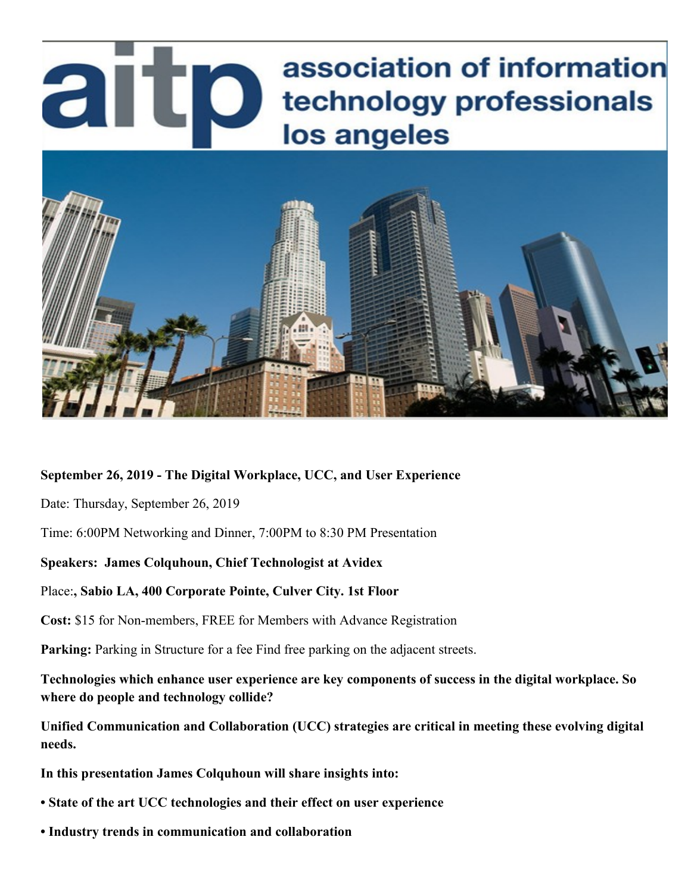# association of information artp technology professionals los angeles



## **September 26, 2019 - The Digital Workplace, UCC, and User Experience**

Date: Thursday, September 26, 2019

Time: 6:00PM Networking and Dinner, 7:00PM to 8:30 PM Presentation

## **Speakers: James Colquhoun, Chief Technologist at Avidex**

#### Place:**, Sabio LA, 400 Corporate Pointe, Culver City. 1st Floor**

**Cost:** \$15 for Non-members, FREE for Members with Advance Registration

**Parking:** Parking in Structure for a fee Find free parking on the adjacent streets.

**Technologies which enhance user experience are key components of success in the digital workplace. So where do people and technology collide?**

**Unified Communication and Collaboration (UCC) strategies are critical in meeting these evolving digital needs.**

**In this presentation James Colquhoun will share insights into:**

- **State of the art UCC technologies and their effect on user experience**
- **Industry trends in communication and collaboration**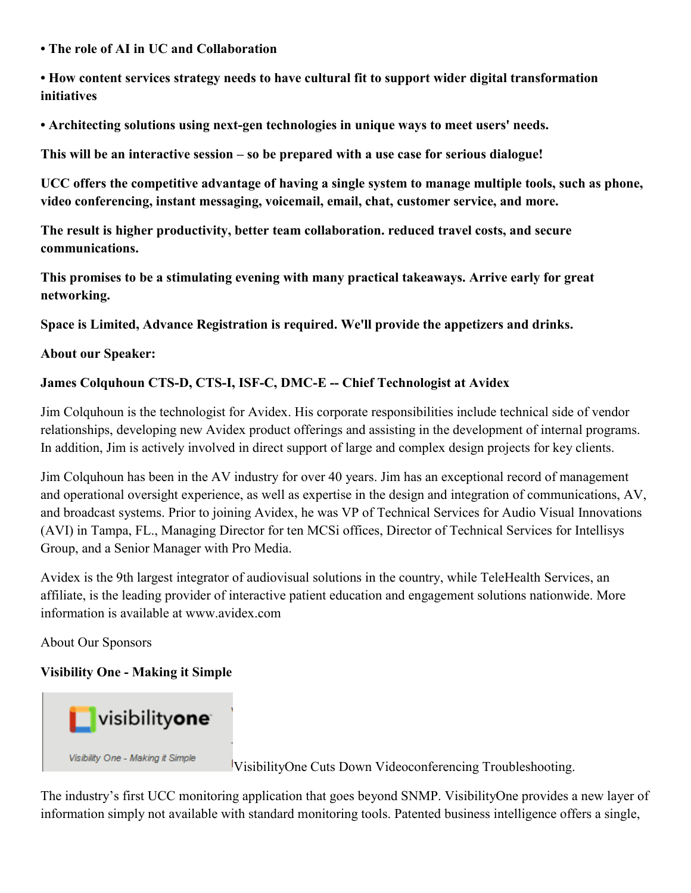**• The role of AI in UC and Collaboration** 

**• How content services strategy needs to have cultural fit to support wider digital transformation initiatives** 

**• Architecting solutions using next-gen technologies in unique ways to meet users' needs.**

**This will be an interactive session – so be prepared with a use case for serious dialogue!**

**UCC offers the competitive advantage of having a single system to manage multiple tools, such as phone, video conferencing, instant messaging, voicemail, email, chat, customer service, and more.**

**The result is higher productivity, better team collaboration. reduced travel costs, and secure communications.**

**This promises to be a stimulating evening with many practical takeaways. Arrive early for great networking.**

**Space is Limited, Advance Registration is required. We'll provide the appetizers and drinks.**

**About our Speaker:**

# **James Colquhoun CTS-D, CTS-I, ISF-C, DMC-E -- Chief Technologist at Avidex**

Jim Colquhoun is the technologist for Avidex. His corporate responsibilities include technical side of vendor relationships, developing new Avidex product offerings and assisting in the development of internal programs. In addition, Jim is actively involved in direct support of large and complex design projects for key clients.

Jim Colquhoun has been in the AV industry for over 40 years. Jim has an exceptional record of management and operational oversight experience, as well as expertise in the design and integration of communications, AV, and broadcast systems. Prior to joining Avidex, he was VP of Technical Services for Audio Visual Innovations (AVI) in Tampa, FL., Managing Director for ten MCSi offices, Director of Technical Services for Intellisys Group, and a Senior Manager with Pro Media.

Avidex is the 9th largest integrator of audiovisual solutions in the country, while TeleHealth Services, an affiliate, is the leading provider of interactive patient education and engagement solutions nationwide. More information is available at www.avidex.com

About Our Sponsors

**Visibility One - Making it Simple**



VisibilityOne Cuts Down Videoconferencing Troubleshooting.

The industry's first UCC monitoring application that goes beyond SNMP. VisibilityOne provides a new layer of information simply not available with standard monitoring tools. Patented business intelligence offers a single,